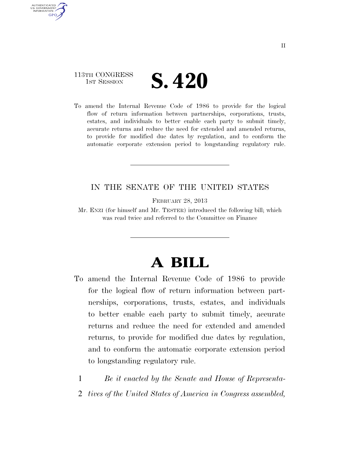## 113TH CONGRESS **IST SESSION S. 420**

AUTHENTICATED U.S. GOVERNMENT GPO

> To amend the Internal Revenue Code of 1986 to provide for the logical flow of return information between partnerships, corporations, trusts, estates, and individuals to better enable each party to submit timely, accurate returns and reduce the need for extended and amended returns, to provide for modified due dates by regulation, and to conform the automatic corporate extension period to longstanding regulatory rule.

### IN THE SENATE OF THE UNITED STATES

FEBRUARY 28, 2013

Mr. ENZI (for himself and Mr. TESTER) introduced the following bill; which was read twice and referred to the Committee on Finance

# **A BILL**

- To amend the Internal Revenue Code of 1986 to provide for the logical flow of return information between partnerships, corporations, trusts, estates, and individuals to better enable each party to submit timely, accurate returns and reduce the need for extended and amended returns, to provide for modified due dates by regulation, and to conform the automatic corporate extension period to longstanding regulatory rule.
	- 1 *Be it enacted by the Senate and House of Representa-*
	- 2 *tives of the United States of America in Congress assembled,*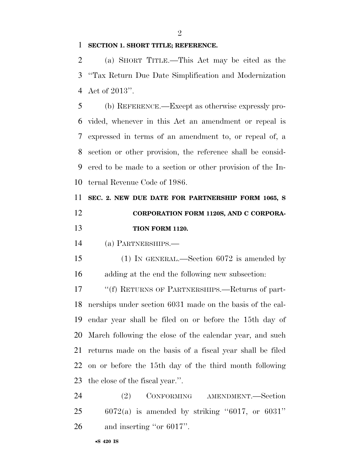$\mathfrak{D}$ 

#### **SECTION 1. SHORT TITLE; REFERENCE.**

 (a) SHORT TITLE.—This Act may be cited as the ''Tax Return Due Date Simplification and Modernization Act of 2013''.

 (b) REFERENCE.—Except as otherwise expressly pro- vided, whenever in this Act an amendment or repeal is expressed in terms of an amendment to, or repeal of, a section or other provision, the reference shall be consid- ered to be made to a section or other provision of the In-ternal Revenue Code of 1986.

 **SEC. 2. NEW DUE DATE FOR PARTNERSHIP FORM 1065, S CORPORATION FORM 1120S, AND C CORPORA-TION FORM 1120.** 

(a) PARTNERSHIPS.—

 (1) IN GENERAL.—Section 6072 is amended by adding at the end the following new subsection:

 ''(f) RETURNS OF PARTNERSHIPS.—Returns of part- nerships under section 6031 made on the basis of the cal- endar year shall be filed on or before the 15th day of March following the close of the calendar year, and such returns made on the basis of a fiscal year shall be filed on or before the 15th day of the third month following the close of the fiscal year.''.

24 (2) CONFORMING AMENDMENT.—Section 6072(a) is amended by striking "6017, or 6031" and inserting ''or 6017''.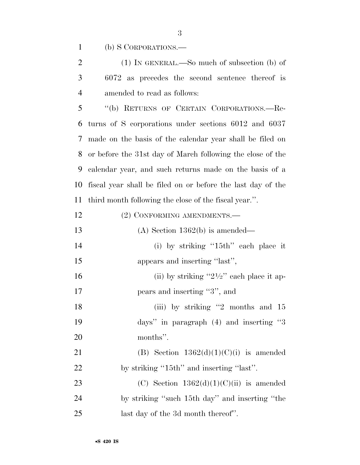(b) S CORPORATIONS.—

| 2              | $(1)$ In GENERAL.—So much of subsection (b) of    |
|----------------|---------------------------------------------------|
| 3 <sup>7</sup> | $6072$ as precedes the second sentence thereof is |
| $\overline{4}$ | amended to read as follows:                       |

 ''(b) RETURNS OF CERTAIN CORPORATIONS.—Re- turns of S corporations under sections 6012 and 6037 made on the basis of the calendar year shall be filed on or before the 31st day of March following the close of the calendar year, and such returns made on the basis of a fiscal year shall be filed on or before the last day of the third month following the close of the fiscal year.''.

| 12 | (2) CONFORMING AMENDMENTS.—                           |
|----|-------------------------------------------------------|
| 13 | $(A)$ Section 1362(b) is amended—                     |
| 14 | (i) by striking " $15th$ " each place it              |
| 15 | appears and inserting "last",                         |
| 16 | (ii) by striking " $2\frac{1}{2}$ " each place it ap- |
| 17 | pears and inserting "3", and                          |
| 18 | (iii) by striking "2 months and 15                    |
| 19 | days" in paragraph $(4)$ and inserting "3             |
| 20 | months".                                              |
| 21 | (B) Section $1362(d)(1)(C)(i)$ is amended             |
| 22 | by striking "15th" and inserting "last".              |
| 23 | (C) Section $1362(d)(1)(C)(ii)$ is amended            |
| 24 | by striking "such 15th day" and inserting "the        |
| 25 | last day of the 3d month thereof".                    |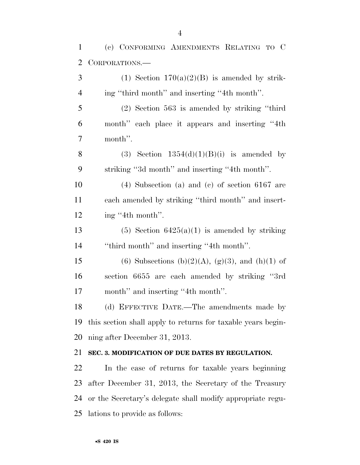(c) CONFORMING AMENDMENTS RELATING TO C CORPORATIONS.— 3 (1) Section  $170(a)(2)(B)$  is amended by strik- ing ''third month'' and inserting ''4th month''. (2) Section 563 is amended by striking ''third month'' each place it appears and inserting ''4th

month''.

8 (3) Section  $1354(d)(1)(B)(i)$  is amended by striking ''3d month'' and inserting ''4th month''.

 (4) Subsection (a) and (c) of section 6167 are each amended by striking ''third month'' and insert-12 ing "4th month".

13 (5) Section  $6425(a)(1)$  is amended by striking ''third month'' and inserting ''4th month''.

15 (6) Subsections (b)(2)(A), (g)(3), and (h)(1) of section 6655 are each amended by striking ''3rd 17 month" and inserting "4th month".

 (d) EFFECTIVE DATE.—The amendments made by this section shall apply to returns for taxable years begin-ning after December 31, 2013.

### **SEC. 3. MODIFICATION OF DUE DATES BY REGULATION.**

 In the case of returns for taxable years beginning after December 31, 2013, the Secretary of the Treasury or the Secretary's delegate shall modify appropriate regu-lations to provide as follows: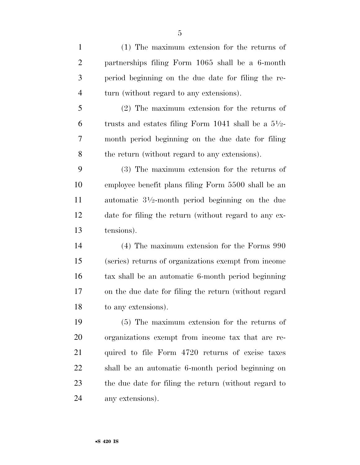(1) The maximum extension for the returns of partnerships filing Form 1065 shall be a 6-month period beginning on the due date for filing the re- turn (without regard to any extensions). (2) The maximum extension for the returns of 6 trusts and estates filing Form 1041 shall be a  $5\frac{1}{2}$ - month period beginning on the due date for filing the return (without regard to any extensions). (3) The maximum extension for the returns of employee benefit plans filing Form 5500 shall be an 11 automatic  $3\frac{1}{2}$ -month period beginning on the due date for filing the return (without regard to any ex- tensions). (4) The maximum extension for the Forms 990 (series) returns of organizations exempt from income tax shall be an automatic 6-month period beginning on the due date for filing the return (without regard to any extensions). (5) The maximum extension for the returns of organizations exempt from income tax that are re- quired to file Form 4720 returns of excise taxes shall be an automatic 6-month period beginning on the due date for filing the return (without regard to

any extensions).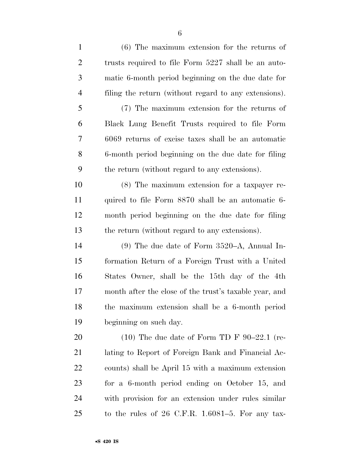| $\mathbf{1}$   | $(6)$ The maximum extension for the returns of         |
|----------------|--------------------------------------------------------|
| $\overline{c}$ | trusts required to file Form 5227 shall be an auto-    |
| $\mathfrak{Z}$ | matic 6-month period beginning on the due date for     |
| $\overline{4}$ | filing the return (without regard to any extensions).  |
| $\mathfrak{S}$ | (7) The maximum extension for the returns of           |
| 6              | Black Lung Benefit Trusts required to file Form        |
| 7              | 6069 returns of excise taxes shall be an automatic     |
| 8              | 6-month period beginning on the due date for filing    |
| 9              | the return (without regard to any extensions).         |
| 10             | $(8)$ The maximum extension for a taxpayer re-         |
| 11             | quired to file Form 8870 shall be an automatic 6-      |
| 12             | month period beginning on the due date for filing      |
| 13             | the return (without regard to any extensions).         |
| 14             | $(9)$ The due date of Form 3520–A, Annual In-          |
| 15             | formation Return of a Foreign Trust with a United      |
| 16             | States Owner, shall be the 15th day of the 4th         |
| 17             | month after the close of the trust's taxable year, and |
| 18             | the maximum extension shall be a 6-month period        |
| 19             | beginning on such day.                                 |
| 20             | $(10)$ The due date of Form TD F 90–22.1 (re-          |
| 21             | lating to Report of Foreign Bank and Financial Ac-     |
| 22             | counts) shall be April 15 with a maximum extension     |
| 23             | for a 6-month period ending on October 15, and         |
| 24             | with provision for an extension under rules similar    |
| 25             | to the rules of $26$ C.F.R. 1.6081–5. For any tax-     |